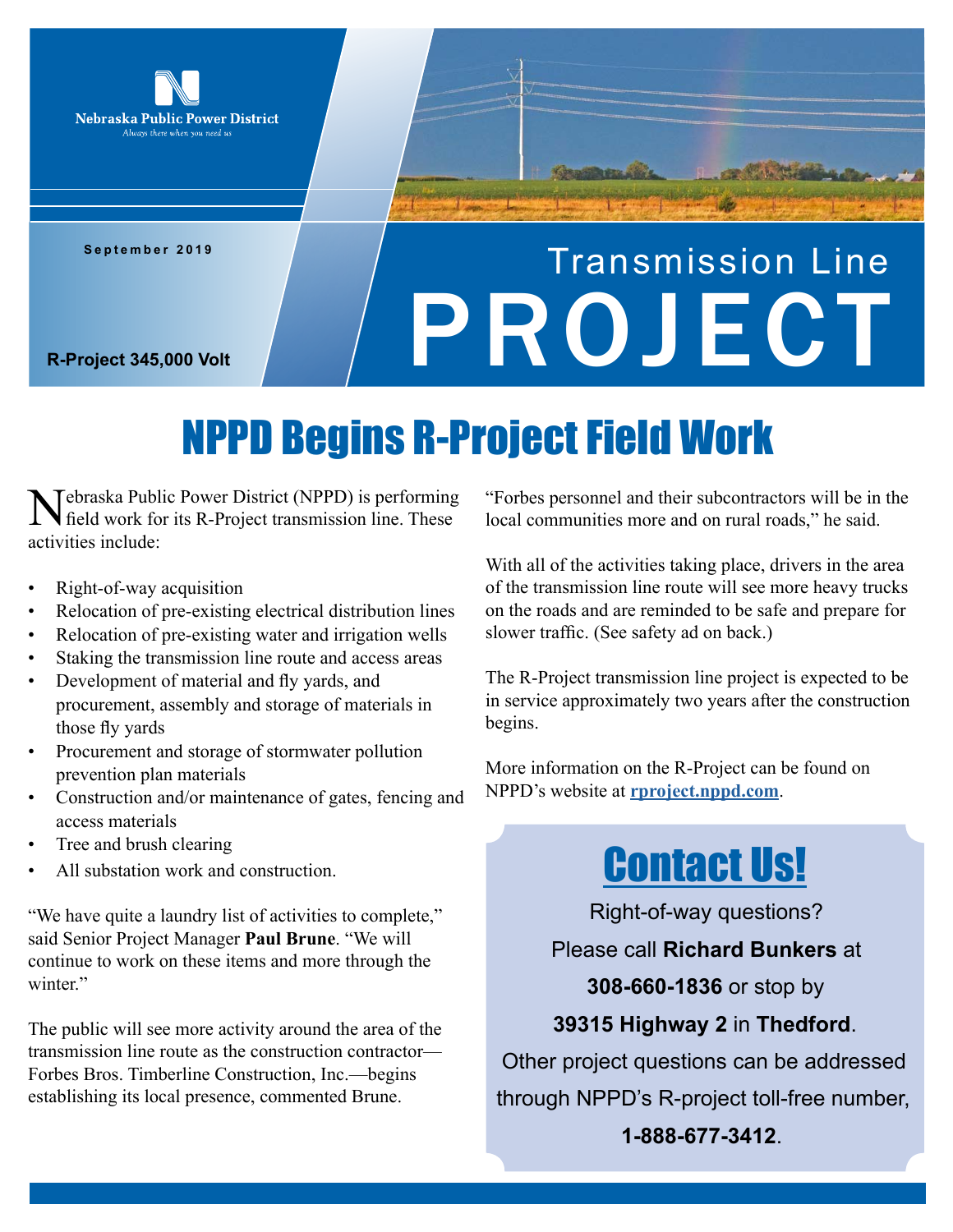

**September 2019**

# Transmission Line **R-Project 345,000 Volt**

## NPPD Begins R-Project Field Work

Tebraska Public Power District (NPPD) is performing field work for its R-Project transmission line. These activities include:

- Right-of-way acquisition
- Relocation of pre-existing electrical distribution lines
- Relocation of pre-existing water and irrigation wells
- Staking the transmission line route and access areas
- Development of material and fly yards, and procurement, assembly and storage of materials in those fly yards
- Procurement and storage of stormwater pollution prevention plan materials
- Construction and/or maintenance of gates, fencing and access materials
- Tree and brush clearing
- All substation work and construction.

"We have quite a laundry list of activities to complete," said Senior Project Manager **Paul Brune**. "We will continue to work on these items and more through the winter."

The public will see more activity around the area of the transmission line route as the construction contractor— Forbes Bros. Timberline Construction, Inc.—begins establishing its local presence, commented Brune.

"Forbes personnel and their subcontractors will be in the local communities more and on rural roads," he said.

With all of the activities taking place, drivers in the area of the transmission line route will see more heavy trucks on the roads and are reminded to be safe and prepare for slower traffic. (See safety ad on back.)

The R-Project transmission line project is expected to be in service approximately two years after the construction begins.

More information on the R-Project can be found on NPPD's website at **rproject.nppd.com**.

### Contact Us!

Right-of-way questions?

Please call **Richard Bunkers** at

**308-660-1836** or stop by

#### **39315 Highway 2** in **Thedford**.

Other project questions can be addressed through NPPD's R-project toll-free number, **1-888-677-3412**.